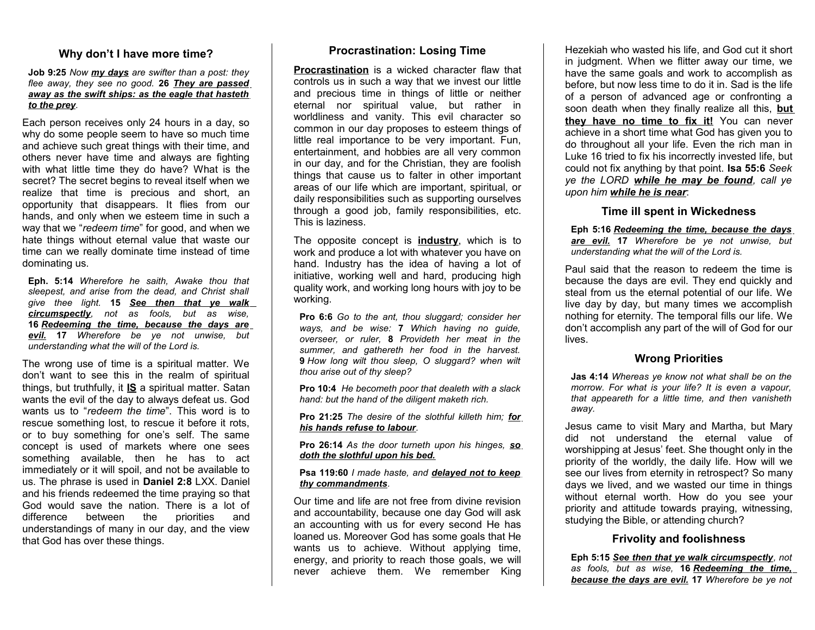### **Why don't I have more time?**

#### **Job 9:25** *Now my days are swifter than a post: they flee away, they see no good.* **26** *They are passed away as the swift ships: as the eagle that hasteth to the prey.*

Each person receives only 24 hours in a day, so why do some people seem to have so much time and achieve such great things with their time, and others never have time and always are fighting with what little time they do have? What is the secret? The secret begins to reveal itself when we realize that time is precious and short, an opportunity that disappears. It flies from our hands, and only when we esteem time in such a way that we "*redeem time*" for good, and when we hate things without eternal value that waste our time can we really dominate time instead of time dominating us.

**Eph. 5:14** *Wherefore he saith, Awake thou that sleepest, and arise from the dead, and Christ shall give thee light.* **15** *See then that ye walk circumspectly, not as fools, but as wise,* **16** *Redeeming the time, because the days are evil.* **17** *Wherefore be ye not unwise, but understanding what the will of the Lord is.*

The wrong use of time is a spiritual matter. We don't want to see this in the realm of spiritual things, but truthfully, it **IS** a spiritual matter. Satan wants the evil of the day to always defeat us. God wants us to "*redeem the time*". This word is to rescue something lost, to rescue it before it rots, or to buy something for one's self. The same concept is used of markets where one sees something available, then he has to act immediately or it will spoil, and not be available to us. The phrase is used in **Daniel 2:8** LXX. Daniel and his friends redeemed the time praying so that God would save the nation. There is a lot of difference between the priorities and understandings of many in our day, and the view that God has over these things.

#### **Procrastination: Losing Time**

**Procrastination** is a wicked character flaw that controls us in such a way that we invest our little and precious time in things of little or neither eternal nor spiritual value, but rather in worldliness and vanity. This evil character so common in our day proposes to esteem things of little real importance to be very important. Fun, entertainment, and hobbies are all very common in our day, and for the Christian, they are foolish things that cause us to falter in other important areas of our life which are important, spiritual, or daily responsibilities such as supporting ourselves through a good job, family responsibilities, etc. This is laziness.

The opposite concept is **industry**, which is to work and produce a lot with whatever you have on hand. Industry has the idea of having a lot of initiative, working well and hard, producing high quality work, and working long hours with joy to be working.

**Pro 6:6** *Go to the ant, thou sluggard; consider her ways, and be wise:* **7** *Which having no guide, overseer, or ruler,* **8** *Provideth her meat in the summer, and gathereth her food in the harvest.* **9** *How long wilt thou sleep, O sluggard? when wilt thou arise out of thy sleep?*

**Pro 10:4** *He becometh poor that dealeth with a slack hand: but the hand of the diligent maketh rich.*

**Pro 21:25** *The desire of the slothful killeth him; for his hands refuse to labour.*

**Pro 26:14** *As the door turneth upon his hinges, so doth the slothful upon his bed.*

**Psa 119:60** *I made haste, and delayed not to keep thy commandments.*

Our time and life are not free from divine revision and accountability, because one day God will ask an accounting with us for every second He has loaned us. Moreover God has some goals that He wants us to achieve. Without applying time, energy, and priority to reach those goals, we will never achieve them. We remember King

Hezekiah who wasted his life, and God cut it short in judgment. When we flitter away our time, we have the same goals and work to accomplish as before, but now less time to do it in. Sad is the life of a person of advanced age or confronting a soon death when they finally realize all this, **but they have no time to fix it!** You can never achieve in a short time what God has given you to do throughout all your life. Even the rich man in Luke 16 tried to fix his incorrectly invested life, but could not fix anything by that point. **Isa 55:6** *Seek ye the LORD while he may be found, call ye upon him while he is near*:

#### **Time ill spent in Wickedness**

**Eph 5:16** *Redeeming the time, because the days are evil.* **17** *Wherefore be ye not unwise, but understanding what the will of the Lord is.*

Paul said that the reason to redeem the time is because the days are evil. They end quickly and steal from us the eternal potential of our life. We live day by day, but many times we accomplish nothing for eternity. The temporal fills our life. We don't accomplish any part of the will of God for our lives.

#### **Wrong Priorities**

**Jas 4:14** *Whereas ye know not what shall be on the morrow. For what is your life? It is even a vapour, that appeareth for a little time, and then vanisheth away.*

Jesus came to visit Mary and Martha, but Mary did not understand the eternal value of worshipping at Jesus' feet. She thought only in the priority of the worldly, the daily life. How will we see our lives from eternity in retrospect? So many days we lived, and we wasted our time in things without eternal worth. How do you see your priority and attitude towards praying, witnessing, studying the Bible, or attending church?

#### **Frivolity and foolishness**

**Eph 5:15** *See then that ye walk circumspectly, not as fools, but as wise,* **16** *Redeeming the time, because the days are evil.* **17** *Wherefore be ye not*